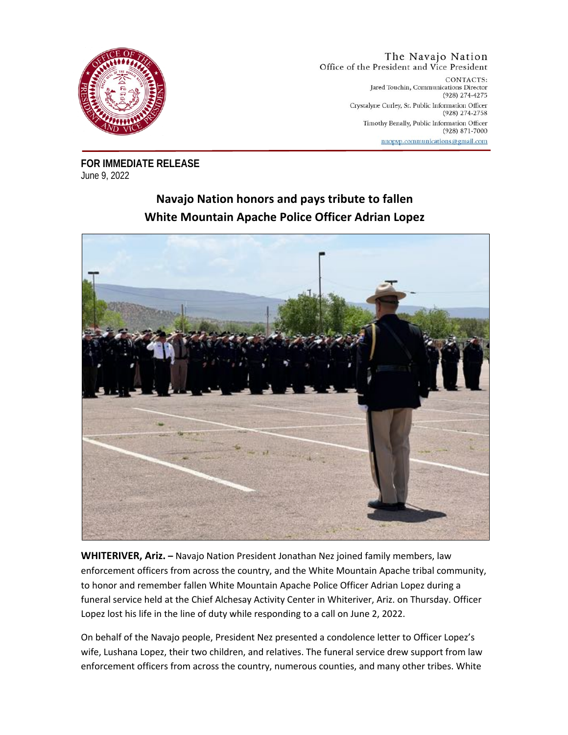

## The Navajo Nation Office of the President and Vice President

CONTACTS: Jared Touchin, Communications Director  $(928)$  274-4275 Crystalyne Curley, Sr. Public Information Officer  $(928)$  274-2758 Timothy Benally, Public Information Officer (928) 871-7000 nnopyp.communications@gmail.com

**FOR IMMEDIATE RELEASE** June 9, 2022

## **Navajo Nation honors and pays tribute to fallen White Mountain Apache Police Officer Adrian Lopez**



**WHITERIVER, Ariz. –** Navajo Nation President Jonathan Nez joined family members, law enforcement officers from across the country, and the White Mountain Apache tribal community, to honor and remember fallen White Mountain Apache Police Officer Adrian Lopez during a funeral service held at the Chief Alchesay Activity Center in Whiteriver, Ariz. on Thursday. Officer Lopez lost his life in the line of duty while responding to a call on June 2, 2022.

On behalf of the Navajo people, President Nez presented a condolence letter to Officer Lopez's wife, Lushana Lopez, their two children, and relatives. The funeral service drew support from law enforcement officers from across the country, numerous counties, and many other tribes. White